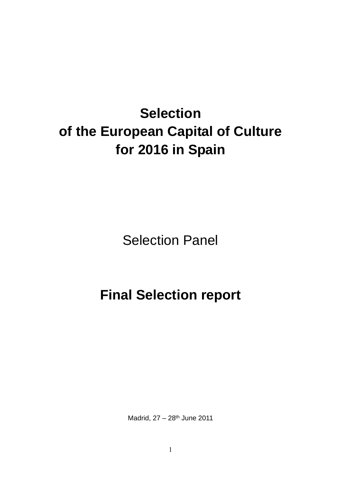# **Selection of the European Capital of Culture for 2016 in Spain**

Selection Panel

# **Final Selection report**

Madrid, 27 – 28th June 2011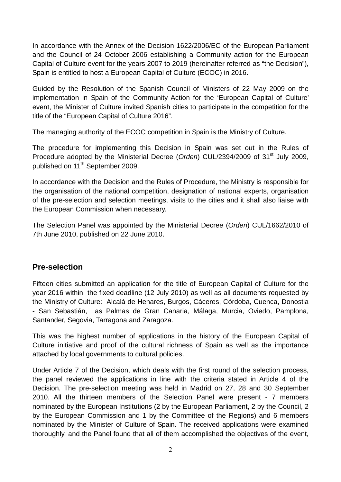In accordance with the Annex of the Decision 1622/2006/EC of the European Parliament and the Council of 24 October 2006 establishing a Community action for the European Capital of Culture event for the years 2007 to 2019 (hereinafter referred as "the Decision"), Spain is entitled to host a European Capital of Culture (ECOC) in 2016.

Guided by the Resolution of the Spanish Council of Ministers of 22 May 2009 on the implementation in Spain of the Community Action for the 'European Capital of Culture' event, the Minister of Culture invited Spanish cities to participate in the competition for the title of the "European Capital of Culture 2016".

The managing authority of the ECOC competition in Spain is the Ministry of Culture.

The procedure for implementing this Decision in Spain was set out in the Rules of Procedure adopted by the Ministerial Decree (Orden) CUL/2394/2009 of 31<sup>st</sup> July 2009, published on 11<sup>th</sup> September 2009.

In accordance with the Decision and the Rules of Procedure, the Ministry is responsible for the organisation of the national competition, designation of national experts, organisation of the pre-selection and selection meetings, visits to the cities and it shall also liaise with the European Commission when necessary.

The Selection Panel was appointed by the Ministerial Decree (Orden) CUL/1662/2010 of 7th June 2010, published on 22 June 2010.

### **Pre-selection**

Fifteen cities submitted an application for the title of European Capital of Culture for the year 2016 within the fixed deadline (12 July 2010) as well as all documents requested by the Ministry of Culture: Alcalá de Henares, Burgos, Cáceres, Córdoba, Cuenca, Donostia - San Sebastián, Las Palmas de Gran Canaria, Málaga, Murcia, Oviedo, Pamplona, Santander, Segovia, Tarragona and Zaragoza.

This was the highest number of applications in the history of the European Capital of Culture initiative and proof of the cultural richness of Spain as well as the importance attached by local governments to cultural policies.

Under Article 7 of the Decision, which deals with the first round of the selection process, the panel reviewed the applications in line with the criteria stated in Article 4 of the Decision. The pre-selection meeting was held in Madrid on 27, 28 and 30 September 2010. All the thirteen members of the Selection Panel were present - 7 members nominated by the European Institutions (2 by the European Parliament, 2 by the Council, 2 by the European Commission and 1 by the Committee of the Regions) and 6 members nominated by the Minister of Culture of Spain. The received applications were examined thoroughly, and the Panel found that all of them accomplished the objectives of the event,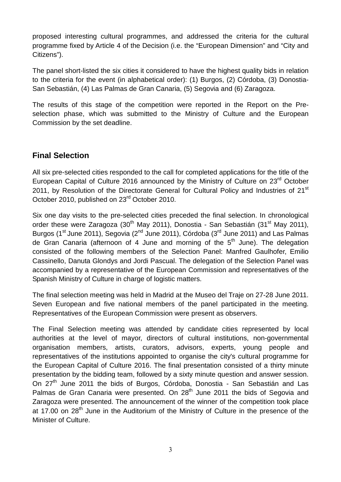proposed interesting cultural programmes, and addressed the criteria for the cultural programme fixed by Article 4 of the Decision (i.e. the "European Dimension" and "City and Citizens").

The panel short-listed the six cities it considered to have the highest quality bids in relation to the criteria for the event (in alphabetical order): (1) Burgos, (2) Córdoba, (3) Donostia-San Sebastián, (4) Las Palmas de Gran Canaria, (5) Segovia and (6) Zaragoza.

The results of this stage of the competition were reported in the Report on the Preselection phase, which was submitted to the Ministry of Culture and the European Commission by the set deadline.

### **Final Selection**

All six pre-selected cities responded to the call for completed applications for the title of the European Capital of Culture 2016 announced by the Ministry of Culture on 23<sup>rd</sup> October 2011, by Resolution of the Directorate General for Cultural Policy and Industries of 21<sup>st</sup> October 2010, published on 23rd October 2010.

Six one day visits to the pre-selected cities preceded the final selection. In chronological order these were Zaragoza (30<sup>th</sup> May 2011), Donostia - San Sebastián (31<sup>st</sup> May 2011), Burgos (1<sup>st</sup> June 2011), Segovia (2<sup>nd</sup> June 2011), Córdoba (3<sup>rd</sup> June 2011) and Las Palmas de Gran Canaria (afternoon of 4 June and morning of the  $5<sup>th</sup>$  June). The delegation consisted of the following members of the Selection Panel: Manfred Gaulhofer, Emilio Cassinello, Danuta Glondys and Jordi Pascual. The delegation of the Selection Panel was accompanied by a representative of the European Commission and representatives of the Spanish Ministry of Culture in charge of logistic matters.

The final selection meeting was held in Madrid at the Museo del Traje on 27-28 June 2011. Seven European and five national members of the panel participated in the meeting. Representatives of the European Commission were present as observers.

The Final Selection meeting was attended by candidate cities represented by local authorities at the level of mayor, directors of cultural institutions, non-governmental organisation members, artists, curators, advisors, experts, young people and representatives of the institutions appointed to organise the city's cultural programme for the European Capital of Culture 2016. The final presentation consisted of a thirty minute presentation by the bidding team, followed by a sixty minute question and answer session. On 27<sup>th</sup> June 2011 the bids of Burgos, Córdoba, Donostia - San Sebastián and Las Palmas de Gran Canaria were presented. On 28<sup>th</sup> June 2011 the bids of Segovia and Zaragoza were presented. The announcement of the winner of the competition took place at 17.00 on 28<sup>th</sup> June in the Auditorium of the Ministry of Culture in the presence of the Minister of Culture.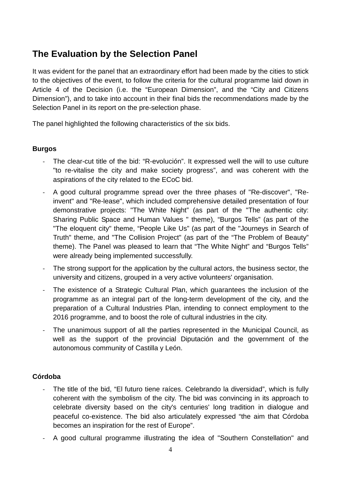## **The Evaluation by the Selection Panel**

It was evident for the panel that an extraordinary effort had been made by the cities to stick to the objectives of the event, to follow the criteria for the cultural programme laid down in Article 4 of the Decision (i.e. the "European Dimension", and the "City and Citizens Dimension"), and to take into account in their final bids the recommendations made by the Selection Panel in its report on the pre-selection phase.

The panel highlighted the following characteristics of the six bids.

#### **Burgos**

- The clear-cut title of the bid: "R-evolución". It expressed well the will to use culture "to re-vitalise the city and make society progress", and was coherent with the aspirations of the city related to the ECoC bid.
- A good cultural programme spread over the three phases of "Re-discover", "Reinvent" and "Re-lease", which included comprehensive detailed presentation of four demonstrative projects: "The White Night" (as part of the "The authentic city: Sharing Public Space and Human Values " theme), "Burgos Tells" (as part of the "The eloquent city" theme, "People Like Us" (as part of the "Journeys in Search of Truth" theme, and "The Collision Project" (as part of the "The Problem of Beauty" theme). The Panel was pleased to learn that "The White Night" and "Burgos Tells" were already being implemented successfully.
- The strong support for the application by the cultural actors, the business sector, the university and citizens, grouped in a very active volunteers' organisation.
- The existence of a Strategic Cultural Plan, which guarantees the inclusion of the programme as an integral part of the long-term development of the city, and the preparation of a Cultural Industries Plan, intending to connect employment to the 2016 programme, and to boost the role of cultural industries in the city.
- The unanimous support of all the parties represented in the Municipal Council, as well as the support of the provincial Diputación and the government of the autonomous community of Castilla y León.

#### **Córdoba**

- The title of the bid, "El futuro tiene raíces. Celebrando la diversidad", which is fully coherent with the symbolism of the city. The bid was convincing in its approach to celebrate diversity based on the city's centuries' long tradition in dialogue and peaceful co-existence. The bid also articulately expressed "the aim that Córdoba becomes an inspiration for the rest of Europe".
- A good cultural programme illustrating the idea of "Southern Constellation" and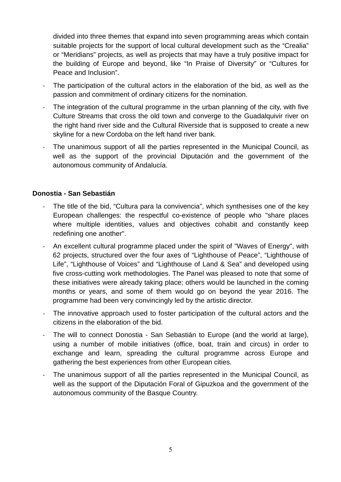divided into three themes that expand into seven programming areas which contain suitable projects for the support of local cultural development such as the "Crealia" or "Meridians" projects, as well as projects that may have a truly positive impact for the building of Europe and beyond, like "In Praise of Diversity" or "Cultures for Peace and Inclusion".

- The participation of the cultural actors in the elaboration of the bid, as well as the passion and commitment of ordinary citizens for the nomination.
- The integration of the cultural programme in the urban planning of the city, with five Culture Streams that cross the old town and converge to the Guadalquivir river on the right hand river side and the Cultural Riverside that is supposed to create a new skyline for a new Cordoba on the left hand river bank.
- The unanimous support of all the parties represented in the Municipal Council, as well as the support of the provincial Diputación and the government of the autonomous community of Andalucía.

#### **Donostia - San Sebastián**

- The title of the bid, "Cultura para la convivencia", which synthesises one of the key European challenges: the respectful co-existence of people who "share places where multiple identities, values and objectives cohabit and constantly keep redefining one another".
- An excellent cultural programme placed under the spirit of "Waves of Energy", with 62 projects, structured over the four axes of "Lighthouse of Peace", "Lighthouse of Life", "Lighthouse of Voices" and "Lighthouse of Land & Sea" and developed using five cross-cutting work methodologies. The Panel was pleased to note that some of these initiatives were already taking place; others would be launched in the coming months or years, and some of them would go on beyond the year 2016. The programme had been very convincingly led by the artistic director.
- The innovative approach used to foster participation of the cultural actors and the citizens in the elaboration of the bid.
- The will to connect Donostia San Sebastián to Europe (and the world at large), using a number of mobile initiatives (office, boat, train and circus) in order to exchange and learn, spreading the cultural programme across Europe and gathering the best experiences from other European cities.
- The unanimous support of all the parties represented in the Municipal Council, as well as the support of the Diputación Foral of Gipuzkoa and the government of the autonomous community of the Basque Country.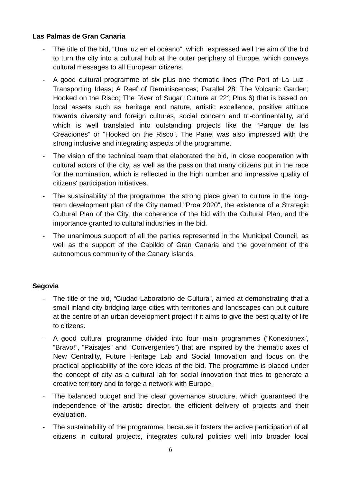#### **Las Palmas de Gran Canaria**

- The title of the bid, "Una luz en el océano", which expressed well the aim of the bid to turn the city into a cultural hub at the outer periphery of Europe, which conveys cultural messages to all European citizens.
- A good cultural programme of six plus one thematic lines (The Port of La Luz Transporting Ideas; A Reef of Reminiscences; Parallel 28: The Volcanic Garden; Hooked on the Risco; The River of Sugar; Culture at 22°; Plus 6) that is based on local assets such as heritage and nature, artistic excellence, positive attitude towards diversity and foreign cultures, social concern and tri-continentality, and which is well translated into outstanding projects like the "Parque de las Creaciones" or "Hooked on the Risco". The Panel was also impressed with the strong inclusive and integrating aspects of the programme.
- The vision of the technical team that elaborated the bid, in close cooperation with cultural actors of the city, as well as the passion that many citizens put in the race for the nomination, which is reflected in the high number and impressive quality of citizens' participation initiatives.
- The sustainability of the programme: the strong place given to culture in the longterm development plan of the City named "Proa 2020", the existence of a Strategic Cultural Plan of the City, the coherence of the bid with the Cultural Plan, and the importance granted to cultural industries in the bid.
- The unanimous support of all the parties represented in the Municipal Council, as well as the support of the Cabildo of Gran Canaria and the government of the autonomous community of the Canary Islands.

#### **Segovia**

- The title of the bid, "Ciudad Laboratorio de Cultura", aimed at demonstrating that a small inland city bridging large cities with territories and landscapes can put culture at the centre of an urban development project if it aims to give the best quality of life to citizens.
- A good cultural programme divided into four main programmes ("Konexionex", "Bravo!", "Paisajes" and "Convergentes") that are inspired by the thematic axes of New Centrality, Future Heritage Lab and Social Innovation and focus on the practical applicability of the core ideas of the bid. The programme is placed under the concept of city as a cultural lab for social innovation that tries to generate a creative territory and to forge a network with Europe.
- The balanced budget and the clear governance structure, which guaranteed the independence of the artistic director, the efficient delivery of projects and their evaluation.
- The sustainability of the programme, because it fosters the active participation of all citizens in cultural projects, integrates cultural policies well into broader local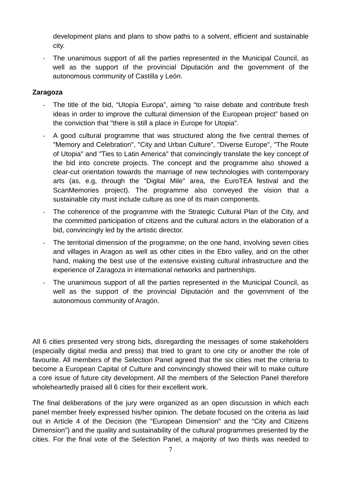development plans and plans to show paths to a solvent, efficient and sustainable city.

The unanimous support of all the parties represented in the Municipal Council, as well as the support of the provincial Diputación and the government of the autonomous community of Castilla y León.

#### **Zaragoza**

- The title of the bid, "Utopía Europa", aiming "to raise debate and contribute fresh ideas in order to improve the cultural dimension of the European project" based on the conviction that "there is still a place in Europe for Utopia".
- A good cultural programme that was structured along the five central themes of "Memory and Celebration", "City and Urban Culture", "Diverse Europe", "The Route of Utopia" and "Ties to Latin America" that convincingly translate the key concept of the bid into concrete projects. The concept and the programme also showed a clear-cut orientation towards the marriage of new technologies with contemporary arts (as, e.g, through the "Digital Mile" area, the EuroTEA festival and the ScanMemories project). The programme also conveyed the vision that a sustainable city must include culture as one of its main components.
- The coherence of the programme with the Strategic Cultural Plan of the City, and the committed participation of citizens and the cultural actors in the elaboration of a bid, convincingly led by the artistic director.
- The territorial dimension of the programme; on the one hand, involving seven cities and villages in Aragon as well as other cities in the Ebro valley, and on the other hand, making the best use of the extensive existing cultural infrastructure and the experience of Zaragoza in international networks and partnerships.
- The unanimous support of all the parties represented in the Municipal Council, as well as the support of the provincial Diputación and the government of the autonomous community of Aragón.

All 6 cities presented very strong bids, disregarding the messages of some stakeholders (especially digital media and press) that tried to grant to one city or another the role of favourite. All members of the Selection Panel agreed that the six cities met the criteria to become a European Capital of Culture and convincingly showed their will to make culture a core issue of future city development. All the members of the Selection Panel therefore wholeheartedly praised all 6 cities for their excellent work.

The final deliberations of the jury were organized as an open discussion in which each panel member freely expressed his/her opinion. The debate focused on the criteria as laid out in Article 4 of the Decision (the "European Dimension" and the "City and Citizens Dimension") and the quality and sustainability of the cultural programmes presented by the cities. For the final vote of the Selection Panel, a majority of two thirds was needed to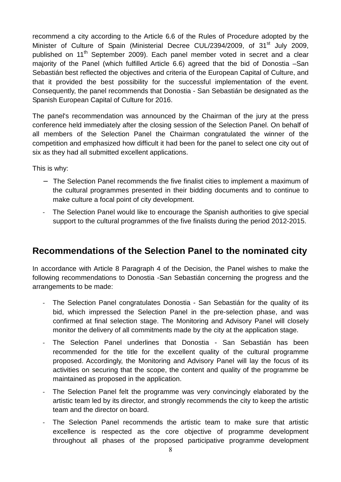recommend a city according to the Article 6.6 of the Rules of Procedure adopted by the Minister of Culture of Spain (Ministerial Decree CUL/2394/2009, of 31<sup>st</sup> July 2009, published on 11<sup>th</sup> September 2009). Each panel member voted in secret and a clear majority of the Panel (which fulfilled Article 6.6) agreed that the bid of Donostia –San Sebastián best reflected the objectives and criteria of the European Capital of Culture, and that it provided the best possibility for the successful implementation of the event. Consequently, the panel recommends that Donostia - San Sebastián be designated as the Spanish European Capital of Culture for 2016.

The panel's recommendation was announced by the Chairman of the jury at the press conference held immediately after the closing session of the Selection Panel. On behalf of all members of the Selection Panel the Chairman congratulated the winner of the competition and emphasized how difficult it had been for the panel to select one city out of six as they had all submitted excellent applications.

This is why:

- − The Selection Panel recommends the five finalist cities to implement a maximum of the cultural programmes presented in their bidding documents and to continue to make culture a focal point of city development.
- The Selection Panel would like to encourage the Spanish authorities to give special support to the cultural programmes of the five finalists during the period 2012-2015.

## **Recommendations of the Selection Panel to the nominated city**

In accordance with Article 8 Paragraph 4 of the Decision, the Panel wishes to make the following recommendations to Donostia -San Sebastián concerning the progress and the arrangements to be made:

- The Selection Panel congratulates Donostia San Sebastián for the quality of its bid, which impressed the Selection Panel in the pre-selection phase, and was confirmed at final selection stage. The Monitoring and Advisory Panel will closely monitor the delivery of all commitments made by the city at the application stage.
- The Selection Panel underlines that Donostia San Sebastián has been recommended for the title for the excellent quality of the cultural programme proposed. Accordingly, the Monitoring and Advisory Panel will lay the focus of its activities on securing that the scope, the content and quality of the programme be maintained as proposed in the application.
- The Selection Panel felt the programme was very convincingly elaborated by the artistic team led by its director, and strongly recommends the city to keep the artistic team and the director on board.
- The Selection Panel recommends the artistic team to make sure that artistic excellence is respected as the core objective of programme development throughout all phases of the proposed participative programme development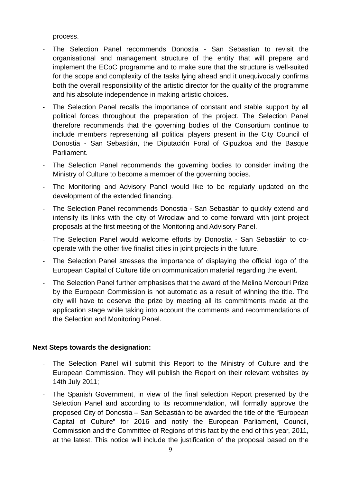process.

- The Selection Panel recommends Donostia San Sebastian to revisit the organisational and management structure of the entity that will prepare and implement the ECoC programme and to make sure that the structure is well-suited for the scope and complexity of the tasks lying ahead and it unequivocally confirms both the overall responsibility of the artistic director for the quality of the programme and his absolute independence in making artistic choices.
- The Selection Panel recalls the importance of constant and stable support by all political forces throughout the preparation of the project. The Selection Panel therefore recommends that the governing bodies of the Consortium continue to include members representing all political players present in the City Council of Donostia - San Sebastián, the Diputación Foral of Gipuzkoa and the Basque Parliament.
- The Selection Panel recommends the governing bodies to consider inviting the Ministry of Culture to become a member of the governing bodies.
- The Monitoring and Advisory Panel would like to be regularly updated on the development of the extended financing.
- The Selection Panel recommends Donostia San Sebastián to quickly extend and intensify its links with the city of Wroclaw and to come forward with joint project proposals at the first meeting of the Monitoring and Advisory Panel.
- The Selection Panel would welcome efforts by Donostia San Sebastián to cooperate with the other five finalist cities in joint projects in the future.
- The Selection Panel stresses the importance of displaying the official logo of the European Capital of Culture title on communication material regarding the event.
- The Selection Panel further emphasises that the award of the Melina Mercouri Prize by the European Commission is not automatic as a result of winning the title. The city will have to deserve the prize by meeting all its commitments made at the application stage while taking into account the comments and recommendations of the Selection and Monitoring Panel.

#### **Next Steps towards the designation:**

- The Selection Panel will submit this Report to the Ministry of Culture and the European Commission. They will publish the Report on their relevant websites by 14th July 2011;
- The Spanish Government, in view of the final selection Report presented by the Selection Panel and according to its recommendation, will formally approve the proposed City of Donostia – San Sebastián to be awarded the title of the "European Capital of Culture" for 2016 and notify the European Parliament, Council, Commission and the Committee of Regions of this fact by the end of this year, 2011, at the latest. This notice will include the justification of the proposal based on the